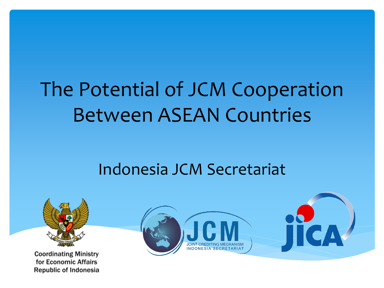# The Potential of JCM Cooperation Between ASEAN Countries

### Indonesia JCM Secretariat



**Coordinating Ministry** for Economic Affairs Republic of Indonesia

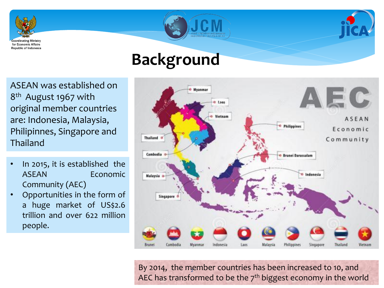

ASEAN was established on 8<sup>th</sup> August 1967 with original member countries are: Indonesia, Malaysia, Philipinnes, Singapore and Thailand

- In 2015, it is established the ASEAN Economic Community (AEC)
- Opportunities in the form of a huge market of US\$2.6 trillion and over 622 million people.



By 2014, the member countries has been increased to 10, and AEC has transformed to be the  $7<sup>th</sup>$  biggest economy in the world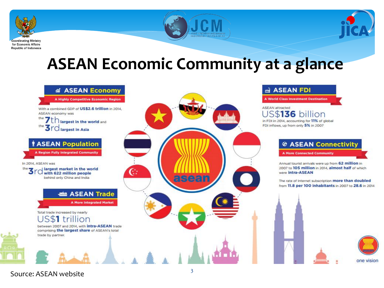





### **ASEAN Economic Community at a glance**



#### d ASEAN FDI

**A World Class Investment Destination** 

**ASEAN** attracted US\$**136** billion in FDI in 2014, accounting for 11% of global FDI inflows, up from only 5% in 2007

#### ◎ ASEAN Connectivity

**A More Connected Community** 

Annual tourist arrivals were up from 62 million in 2007 to 105 million in 2014, almost half of which were intra-ASEAN

The rate of Internet subscription more than doubled from 11.8 per 100 inhabitants in 2007 to 28.6 in 2014





Source: ASEAN website 3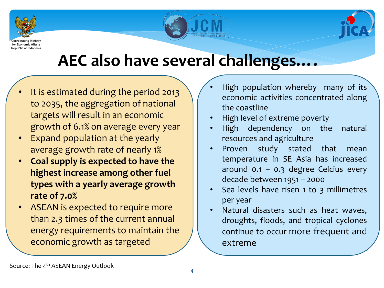





### **AEC also have several challenges….**

- It is estimated during the period 2013 to 2035, the aggregation of national targets will result in an economic growth of 6.1% on average every year
- Expand population at the yearly average growth rate of nearly 1%
- **Coal supply is expected to have the highest increase among other fuel types with a yearly average growth rate of 7.0%**
- ASEAN is expected to require more than 2.3 times of the current annual energy requirements to maintain the economic growth as targeted
- High population whereby many of its economic activities concentrated along the coastline
- High level of extreme poverty
- High dependency on the natural resources and agriculture
- Proven study stated that mean temperature in SE Asia has increased around 0.1 – 0.3 degree Celcius every decade between 1951 – 2000
- Sea levels have risen 1 to 3 millimetres per year
- Natural disasters such as heat waves, droughts, floods, and tropical cyclones continue to occur more frequent and extreme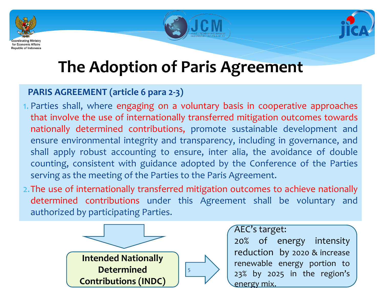





## **The Adoption of Paris Agreement**

#### **PARIS AGREEMENT (article 6 para 2-3)**

- 1. Parties shall, where engaging on a voluntary basis in cooperative approaches that involve the use of internationally transferred mitigation outcomes towards nationally determined contributions, promote sustainable development and ensure environmental integrity and transparency, including in governance, and shall apply robust accounting to ensure, inter alia, the avoidance of double counting, consistent with guidance adopted by the Conference of the Parties serving as the meeting of the Parties to the Paris Agreement.
- 2.The use of internationally transferred mitigation outcomes to achieve nationally determined contributions under this Agreement shall be voluntary and authorized by participating Parties.



AEC's target:

20% of energy intensity reduction by 2020 & increase renewable energy portion to 23% by 2025 in the region's energy mix.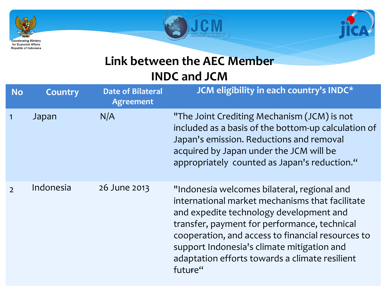





#### **Link between the AEC Member INDC and JCM**

| <b>No</b> | <b>Country</b> | <b>Date of Bilateral</b><br><b>Agreement</b> | JCM eligibility in each country's INDC*                                                                                                                                                                                                                                                                                                                   |
|-----------|----------------|----------------------------------------------|-----------------------------------------------------------------------------------------------------------------------------------------------------------------------------------------------------------------------------------------------------------------------------------------------------------------------------------------------------------|
|           | Japan          | N/A                                          | "The Joint Crediting Mechanism (JCM) is not<br>included as a basis of the bottom-up calculation of<br>Japan's emission. Reductions and removal<br>acquired by Japan under the JCM will be<br>appropriately counted as Japan's reduction."                                                                                                                 |
|           | Indonesia      | 26 June 2013                                 | "Indonesia welcomes bilateral, regional and<br>international market mechanisms that facilitate<br>and expedite technology development and<br>transfer, payment for performance, technical<br>cooperation, and access to financial resources to<br>support Indonesia's climate mitigation and<br>adaptation efforts towards a climate resilient<br>future" |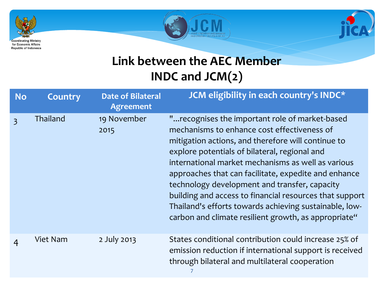





#### **Link between the AEC Member INDC and JCM(2)**

| <b>No</b>      | <b>Country</b>  | <b>Date of Bilateral</b><br><b>Agreement</b> | JCM eligibility in each country's INDC*                                                                                                                                                                                                                                                                                                                                                                                                                                                                                                           |
|----------------|-----------------|----------------------------------------------|---------------------------------------------------------------------------------------------------------------------------------------------------------------------------------------------------------------------------------------------------------------------------------------------------------------------------------------------------------------------------------------------------------------------------------------------------------------------------------------------------------------------------------------------------|
| $\overline{3}$ | Thailand        | 19 November<br>2015                          | " recognises the important role of market-based<br>mechanisms to enhance cost effectiveness of<br>mitigation actions, and therefore will continue to<br>explore potentials of bilateral, regional and<br>international market mechanisms as well as various<br>approaches that can facilitate, expedite and enhance<br>technology development and transfer, capacity<br>building and access to financial resources that support<br>Thailand's efforts towards achieving sustainable, low-<br>carbon and climate resilient growth, as appropriate" |
| $\overline{4}$ | <b>Viet Nam</b> | 2 July 2013                                  | States conditional contribution could increase 25% of<br>emission reduction if international support is received<br>through bilateral and multilateral cooperation                                                                                                                                                                                                                                                                                                                                                                                |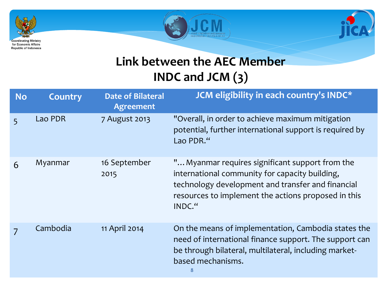





#### **Link between the AEC Member INDC and JCM (3)**

| <b>No</b> | <b>Country</b> | <b>Date of Bilateral</b><br><b>Agreement</b> | JCM eligibility in each country's INDC*                                                                                                                                                                                 |
|-----------|----------------|----------------------------------------------|-------------------------------------------------------------------------------------------------------------------------------------------------------------------------------------------------------------------------|
| 5         | Lao PDR        | 7 August 2013                                | "Overall, in order to achieve maximum mitigation<br>potential, further international support is required by<br>Lao PDR."                                                                                                |
| 6         | Myanmar        | 16 September<br>2015                         | " Myanmar requires significant support from the<br>international community for capacity building,<br>technology development and transfer and financial<br>resources to implement the actions proposed in this<br>INDC." |
|           | Cambodia       | 11 April 2014                                | On the means of implementation, Cambodia states the<br>need of international finance support. The support can<br>be through bilateral, multilateral, including market-<br>based mechanisms.<br>8                        |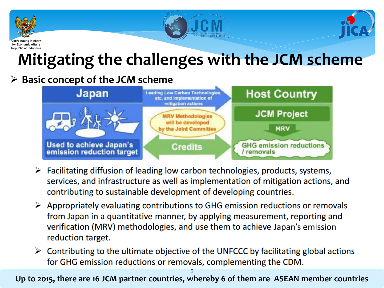





## **Mitigating the challenges with the JCM scheme**

#### **Basic concept of the JCM scheme**



- $\triangleright$  Facilitating diffusion of leading low carbon technologies, products, systems, services, and infrastructure as well as implementation of mitigation actions, and contributing to sustainable development of developing countries.
- $\triangleright$  Appropriately evaluating contributions to GHG emission reductions or removals from Japan in a quantitative manner, by applying measurement, reporting and verification (MRV) methodologies, and use them to achieve Japan's emission reduction target.
- $\triangleright$  Contributing to the ultimate objective of the UNFCCC by facilitating global actions for GHG emission reductions or removals, complementing the CDM.

**Up to 2015, there are 16 JCM partner countries, whereby 6 of them are ASEAN member countries** 9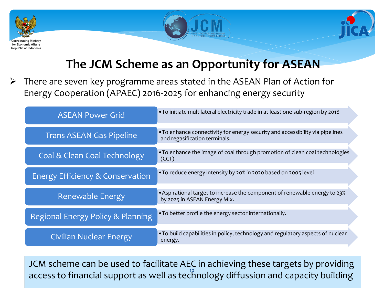





#### **The JCM Scheme as an Opportunity for ASEAN**

 There are seven key programme areas stated in the ASEAN Plan of Action for Energy Cooperation (APAEC) 2016-2025 for enhancing energy security

| <b>ASEAN Power Grid</b>           | . To initiate multilateral electricity trade in at least one sub-region by 2018                                |
|-----------------------------------|----------------------------------------------------------------------------------------------------------------|
| <b>Trans ASEAN Gas Pipeline</b>   | • To enhance connectivity for energy security and accessibility via pipelines<br>and regasification terminals. |
| Coal & Clean Coal Technology      | • To enhance the image of coal through promotion of clean coal technologies<br>(CCT)                           |
| Energy Efficiency & Conservation  | . To reduce energy intensity by 20% in 2020 based on 2005 level                                                |
| Renewable Energy                  | • Aspirational target to increase the component of renewable energy to 23%<br>by 2025 in ASEAN Energy Mix.     |
| Regional Energy Policy & Planning | . To better profile the energy sector internationally.                                                         |
| <b>Civilian Nuclear Energy</b>    | . To build capabilities in policy, technology and regulatory aspects of nuclear<br>energy.                     |

JCM scheme can be used to facilitate AEC in achieving these targets by providing access to financial support as well as technology diffussion and capacity building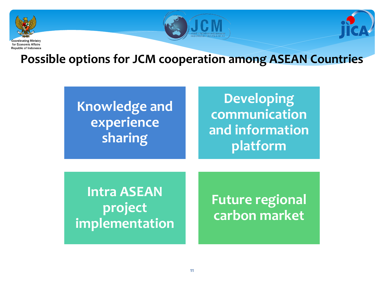





**Possible options for JCM cooperation among ASEAN Countries**

### **Knowledge and experience sharing**

### **Developing communication and information platform**

**Intra ASEAN project implementation** 

**Future regional carbon market**